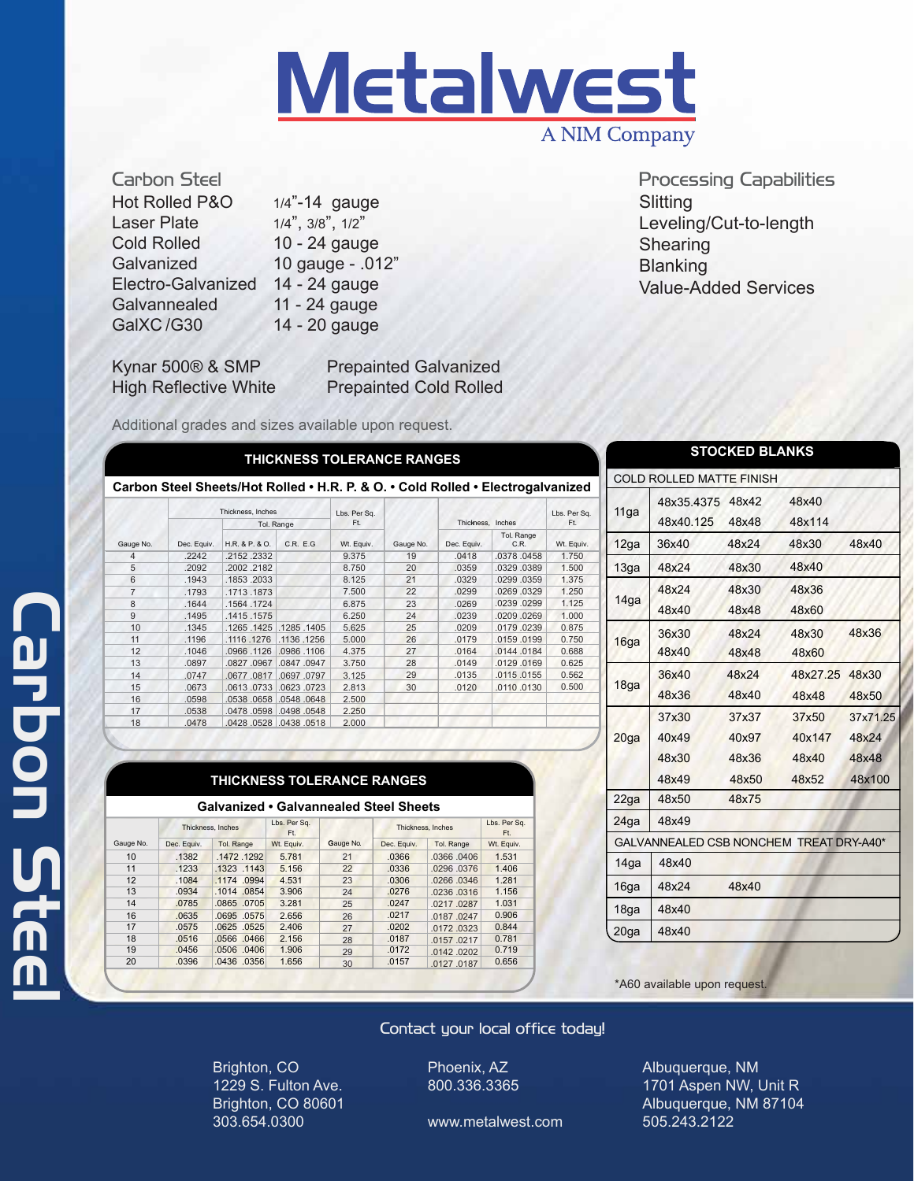

Carbon Steel Hot Rolled P&O 1/4"-14 gauge Laser Plate 1/4", 3/8", 1/2" Cold Rolled 10 - 24 gauge Galvanized 10 gauge - .012" Electro-Galvanized 14 - 24 gauge Galvannealed 11 - 24 gauge GalXC/G30 14 - 20 gauge

Kynar 500® & SMP Prepainted Galvanized High Reflective White Prepainted Cold Rolled

Additional grades and sizes available upon request.

**THICKNESS TOLERANCE RANGES Carbon Steel Sheets/Hot Rolled • H.R. P. & O. • Cold Rolled • Electrogalvanized** H.R. & P. & O. C.R. E.G Wt. Equiv. Dec. Equiv. Gauge No. Dec. Equiv. C.R. Wt. Equiv. Tol. Range<br>C.R. Thickness, Inches Lbs. Per Sq. Ft. Gauge No. Tol. Range Ft. Ft. Thickness, Inches Ft. Lbs. Per Sq. 4 .2242 5 .2092 6 .1943 7 .1793 8 .1644 9 .1495 10 .1345 11 .1196 12 .1046 13 .0897 14 .0747 15 .0673 16 .0598 17 .0538 18 .0478 .2152 .2332 .2002 .2182 .1853 .2033 .1713 .1873 1564 1724 .1415 .1575 .1265 .1425 .1285 .1405 .1116 .1276 .1136 .1256 .0966 .1126 .0986 .1106 .0827 .0967 .0847 .0947 .0677 .0817 .0697 .0797 .0613 .0733 .0623 .0723 .0538 .0658 .0548 .0648 .0478 .0598 .0498 .0548 .0428 .0528 .0438 .0518 9.375 8.750 8.125 7.500 6.875 6.250 5.625 5.000 4.375 3.750 3.125 2.813 2.500 2.250 2.000 19 20  $21$ 22 23 24 25 26 27 28 29 30 .0418 .0359 .0329 .0299 .0269 .0239 .0209 .0179 .0164 .0149 .0135 .0120 .0378 .0458 .0329 .0389 .0299 .0359 .0269 .0329 0239 0299 .0209 .0269 .0179 .0239 .0159 .0199 .0144 .0184 .0129 .0169 .0115 .0155 .0110 .0130 1.750 1.500 1.375 1.250 1.125 1.000 0.875 0.750 0.688 0.625 0.562 0.500

## **THICKNESS TOLERANCE RANGES**

| <b>Galvanized • Galvannealed Steel Sheets</b> |                   |                 |                     |                   |             |                     |            |
|-----------------------------------------------|-------------------|-----------------|---------------------|-------------------|-------------|---------------------|------------|
|                                               | Thickness, Inches |                 | Lbs. Per Sq.<br>Ft. | Thickness, Inches |             | Lbs. Per Sa.<br>Ft. |            |
| Gauge No.                                     | Dec. Equiv.       | Tol. Range      | Wt. Equiv.          | Gauge No.         | Dec. Equiv. | Tol. Range          | Wt. Equiv. |
| 10                                            | .1382             | 1472 1292       | 5.781               | 21                | .0366       | $.0366$ $.0406$     | 1.531      |
| 11                                            | .1233             | $.1323$ $.1143$ | 5.156               | 22                | .0336       | .0296 .0376         | 1.406      |
| 12                                            | .1084             | .0994<br>.1174  | 4.531               | 23                | .0306       | $.0266$ $.0346$     | 1.281      |
| 13                                            | .0934             | $.1014$ $.0854$ | 3.906               | 24                | .0276       | $.0236$ $.0316$     | 1.156      |
| 14                                            | .0785             | .0865 .0705     | 3.281               | 25                | .0247       | .0217.0287          | 1.031      |
| 16                                            | .0635             | $.0695$ $.0575$ | 2.656               | 26                | .0217       | .0187.0247          | 0.906      |
| 17                                            | .0575             | $.0625$ $.0525$ | 2.406               | 27                | .0202       | .0172.0323          | 0.844      |
| 18                                            | .0516             | $.0566$ $.0466$ | 2.156               | 28                | .0187       | $.0157$ $.0217$     | 0.781      |
| 19                                            | .0456             | .0506.0406      | 1.906               | 29                | .0172       | $.0142$ $.0202$     | 0.719      |
| 20                                            | .0396             | .0436.0356      | 1.656               | 30                | .0157       | 0127 .0187          | 0.656      |

Processing Capabilities **Slitting** Leveling/Cut-to-length **Shearing Blanking** Value-Added Services

| <b>STOCKED BLANKS</b>                   |                                 |       |          |          |  |
|-----------------------------------------|---------------------------------|-------|----------|----------|--|
|                                         | <b>COLD ROLLED MATTE FINISH</b> |       |          |          |  |
| 11ga                                    | 48x35.4375                      | 48x42 | 48x40    |          |  |
|                                         | 48x40.125                       | 48x48 | 48x114   |          |  |
| 12ga                                    | 36x40                           | 48x24 | 48x30    | 48x40    |  |
| 13ga                                    | 48x24                           | 48x30 | 48x40    |          |  |
|                                         | 48x24                           | 48x30 | 48x36    |          |  |
| 14ga                                    | 48x40                           | 48x48 | 48x60    |          |  |
| 16 <sub>g</sub> a                       | 36x30                           | 48x24 | 48x30    | 48x36    |  |
|                                         | 48x40                           | 48x48 | 48x60    |          |  |
| 18 <sub>g</sub> a                       | 36x40                           | 48x24 | 48x27.25 | 48x30    |  |
|                                         | 48x36                           | 48x40 | 48x48    | 48x50    |  |
|                                         | 37x30                           | 37x37 | 37x50    | 37x71.25 |  |
| 20 <sub>g</sub> a                       | 40x49                           | 40x97 | 40x147   | 48x24    |  |
|                                         | 48x30                           | 48x36 | 48x40    | 48x48    |  |
|                                         | 48x49                           | 48x50 | 48x52    | 48x100   |  |
| 22ga                                    | 48x50                           | 48x75 |          |          |  |
| 24 <sub>g</sub> a                       | 48x49                           |       |          |          |  |
| GALVANNEALED CSB NONCHEM TREAT DRY-A40* |                                 |       |          |          |  |
| 14 <sub>g</sub> a                       | 48x40                           |       |          |          |  |
| 16 <sub>g</sub> a                       | 48x24                           | 48x40 |          |          |  |
| 18ga                                    | 48x40                           |       |          |          |  |
| 20ga                                    | 48x40                           |       |          |          |  |
|                                         |                                 |       |          |          |  |

\*A60 available upon request.

## Contact your local office today!

Brighton, CO Phoenix, AZ Albuquerque, NM 303.654.0300 www.metalwest.com 505.243.2122

800.336.3365 1701 Aspen NW, Unit R Brighton, CO 80601 **Albuquerque, NM 87104** Albuquerque, NM 87104